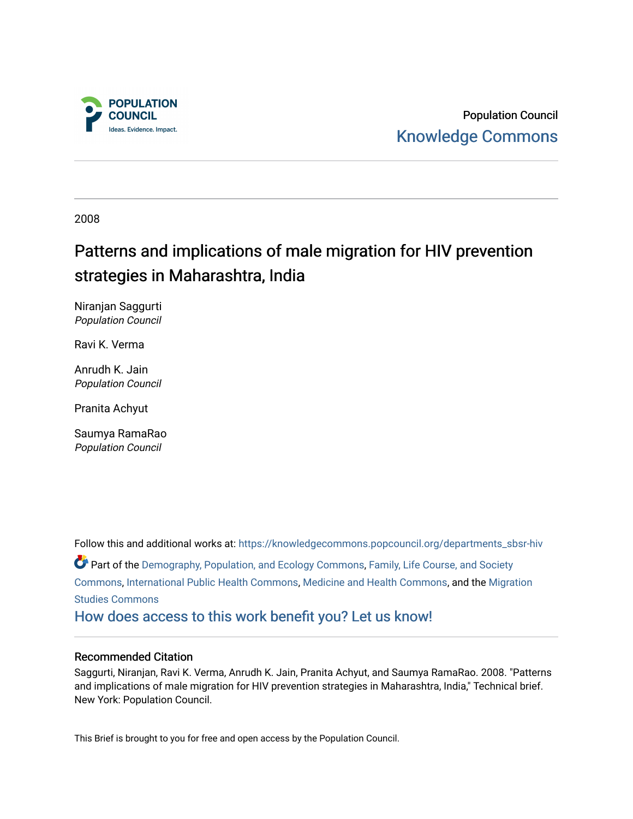

Population Council [Knowledge Commons](https://knowledgecommons.popcouncil.org/) 

2008

# Patterns and implications of male migration for HIV prevention strategies in Maharashtra, India

Niranjan Saggurti Population Council

Ravi K. Verma

Anrudh K. Jain Population Council

Pranita Achyut

Saumya RamaRao Population Council

Follow this and additional works at: [https://knowledgecommons.popcouncil.org/departments\\_sbsr-hiv](https://knowledgecommons.popcouncil.org/departments_sbsr-hiv?utm_source=knowledgecommons.popcouncil.org%2Fdepartments_sbsr-hiv%2F448&utm_medium=PDF&utm_campaign=PDFCoverPages) Part of the [Demography, Population, and Ecology Commons,](https://network.bepress.com/hgg/discipline/418?utm_source=knowledgecommons.popcouncil.org%2Fdepartments_sbsr-hiv%2F448&utm_medium=PDF&utm_campaign=PDFCoverPages) [Family, Life Course, and Society](https://network.bepress.com/hgg/discipline/419?utm_source=knowledgecommons.popcouncil.org%2Fdepartments_sbsr-hiv%2F448&utm_medium=PDF&utm_campaign=PDFCoverPages)  [Commons](https://network.bepress.com/hgg/discipline/419?utm_source=knowledgecommons.popcouncil.org%2Fdepartments_sbsr-hiv%2F448&utm_medium=PDF&utm_campaign=PDFCoverPages), [International Public Health Commons,](https://network.bepress.com/hgg/discipline/746?utm_source=knowledgecommons.popcouncil.org%2Fdepartments_sbsr-hiv%2F448&utm_medium=PDF&utm_campaign=PDFCoverPages) [Medicine and Health Commons,](https://network.bepress.com/hgg/discipline/422?utm_source=knowledgecommons.popcouncil.org%2Fdepartments_sbsr-hiv%2F448&utm_medium=PDF&utm_campaign=PDFCoverPages) and the [Migration](https://network.bepress.com/hgg/discipline/1394?utm_source=knowledgecommons.popcouncil.org%2Fdepartments_sbsr-hiv%2F448&utm_medium=PDF&utm_campaign=PDFCoverPages) [Studies Commons](https://network.bepress.com/hgg/discipline/1394?utm_source=knowledgecommons.popcouncil.org%2Fdepartments_sbsr-hiv%2F448&utm_medium=PDF&utm_campaign=PDFCoverPages)  [How does access to this work benefit you? Let us know!](https://pcouncil.wufoo.com/forms/open-access-to-population-council-research/)

### Recommended Citation

Saggurti, Niranjan, Ravi K. Verma, Anrudh K. Jain, Pranita Achyut, and Saumya RamaRao. 2008. "Patterns and implications of male migration for HIV prevention strategies in Maharashtra, India," Technical brief. New York: Population Council.

This Brief is brought to you for free and open access by the Population Council.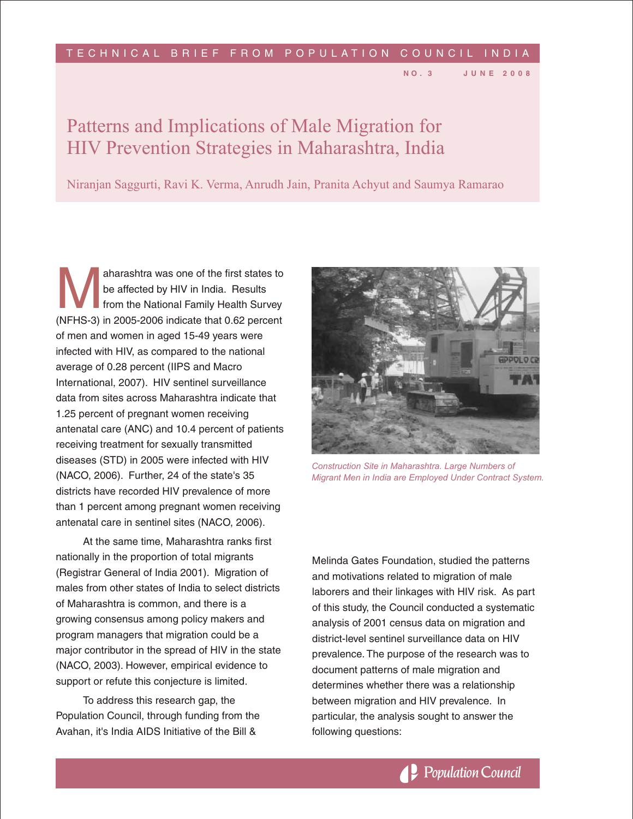#### T E C H N I C A L B R I E F F R O M P O P U L A T I O N C O U N C I L I N D I A

# Patterns and Implications of Male Migration for HIV Prevention Strategies in Maharashtra, India

Niranjan Saggurti, Ravi K. Verma, Anrudh Jain, Pranita Achyut and Saumya Ramarao

A aharashtra was one of the first states to<br>be affected by HIV in India. Results<br>from the National Family Health Survey<br>(NFHS-3) in 2005-2006 indicate that 0.62 percent aharashtra was one of the first states to be affected by HIV in India. Results from the National Family Health Survey of men and women in aged 15-49 years were infected with HIV, as compared to the national average of 0.28 percent (IIPS and Macro International, 2007). HIV sentinel surveillance data from sites across Maharashtra indicate that 1.25 percent of pregnant women receiving antenatal care (ANC) and 10.4 percent of patients receiving treatment for sexually transmitted diseases (STD) in 2005 were infected with HIV (NACO, 2006). Further, 24 of the state's 35 districts have recorded HIV prevalence of more than 1 percent among pregnant women receiving antenatal care in sentinel sites (NACO, 2006).

At the same time, Maharashtra ranks first nationally in the proportion of total migrants (Registrar General of India 2001). Migration of males from other states of India to select districts of Maharashtra is common, and there is a growing consensus among policy makers and program managers that migration could be a major contributor in the spread of HIV in the state (NACO, 2003). However, empirical evidence to support or refute this conjecture is limited.

To address this research gap, the Population Council, through funding from the Avahan, it's India AIDS Initiative of the Bill &



**N O . 3 J U N E 2 0 0 8**

*Construction Site in Maharashtra. Large Numbers of Migrant Men in India are Employed Under Contract System.*

Melinda Gates Foundation, studied the patterns and motivations related to migration of male laborers and their linkages with HIV risk. As part of this study, the Council conducted a systematic analysis of 2001 census data on migration and district-level sentinel surveillance data on HIV prevalence. The purpose of the research was to document patterns of male migration and determines whether there was a relationship between migration and HIV prevalence. In particular, the analysis sought to answer the following questions: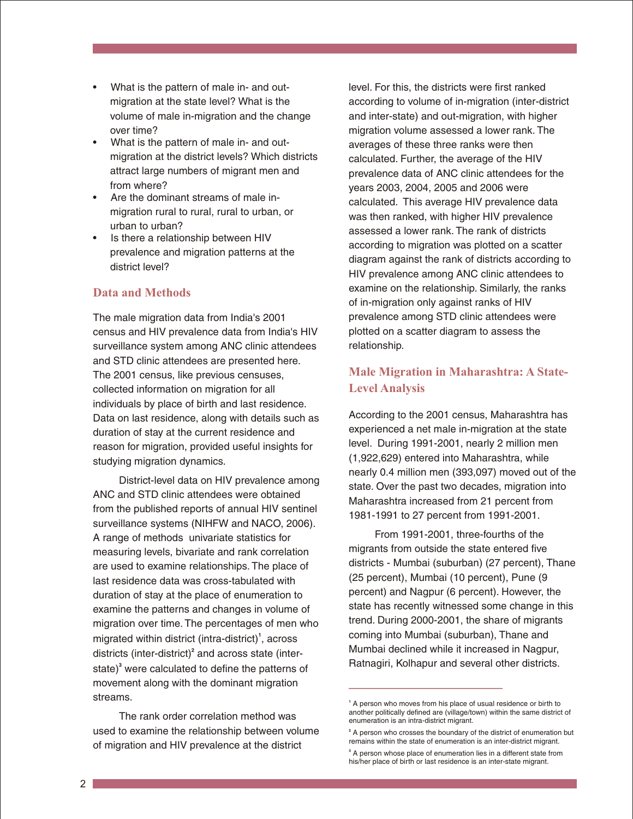- What is the pattern of male in- and outmigration at the state level? What is the volume of male in-migration and the change over time?
- What is the pattern of male in- and outmigration at the district levels? Which districts attract large numbers of migrant men and from where?
- Are the dominant streams of male inmigration rural to rural, rural to urban, or urban to urban?
- Is there a relationship between HIV prevalence and migration patterns at the district level?

# **Data and Methods**

The male migration data from India's 2001 census and HIV prevalence data from India's HIV surveillance system among ANC clinic attendees and STD clinic attendees are presented here. The 2001 census, like previous censuses, collected information on migration for all individuals by place of birth and last residence. Data on last residence, along with details such as duration of stay at the current residence and reason for migration, provided useful insights for studying migration dynamics.

District-level data on HIV prevalence among ANC and STD clinic attendees were obtained from the published reports of annual HIV sentinel surveillance systems (NIHFW and NACO, 2006). A range of methods univariate statistics for measuring levels, bivariate and rank correlation are used to examine relationships. The place of last residence data was cross-tabulated with duration of stay at the place of enumeration to examine the patterns and changes in volume of migration over time. The percentages of men who migrated within district (intra-district)<sup>1</sup>, across districts (inter-district)<sup>2</sup> and across state (interstate)<sup>3</sup> were calculated to define the patterns of movement along with the dominant migration streams.

The rank order correlation method was used to examine the relationship between volume of migration and HIV prevalence at the district

level. For this, the districts were first ranked according to volume of in-migration (inter-district and inter-state) and out-migration, with higher migration volume assessed a lower rank. The averages of these three ranks were then calculated. Further, the average of the HIV prevalence data of ANC clinic attendees for the years 2003, 2004, 2005 and 2006 were calculated. This average HIV prevalence data was then ranked, with higher HIV prevalence assessed a lower rank. The rank of districts according to migration was plotted on a scatter diagram against the rank of districts according to HIV prevalence among ANC clinic attendees to examine on the relationship. Similarly, the ranks of in-migration only against ranks of HIV prevalence among STD clinic attendees were plotted on a scatter diagram to assess the relationship.

# **Male Migration in Maharashtra: A State-Level Analysis**

According to the 2001 census, Maharashtra has experienced a net male in-migration at the state level. During 1991-2001, nearly 2 million men (1,922,629) entered into Maharashtra, while nearly 0.4 million men (393,097) moved out of the state. Over the past two decades, migration into Maharashtra increased from 21 percent from 1981-1991 to 27 percent from 1991-2001.

From 1991-2001, three-fourths of the migrants from outside the state entered five districts - Mumbai (suburban) (27 percent), Thane (25 percent), Mumbai (10 percent), Pune (9 percent) and Nagpur (6 percent). However, the state has recently witnessed some change in this trend. During 2000-2001, the share of migrants coming into Mumbai (suburban), Thane and Mumbai declined while it increased in Nagpur, Ratnagiri, Kolhapur and several other districts.

**<sup>1</sup>** A person who moves from his place of usual residence or birth to another politically defined are (village/town) within the same district of enumeration is an intra-district migrant.

**<sup>2</sup>** A person who crosses the boundary of the district of enumeration but remains within the state of enumeration is an inter-district migrant.

**<sup>3</sup>** A person whose place of enumeration lies in a different state from his/her place of birth or last residence is an inter-state migrant.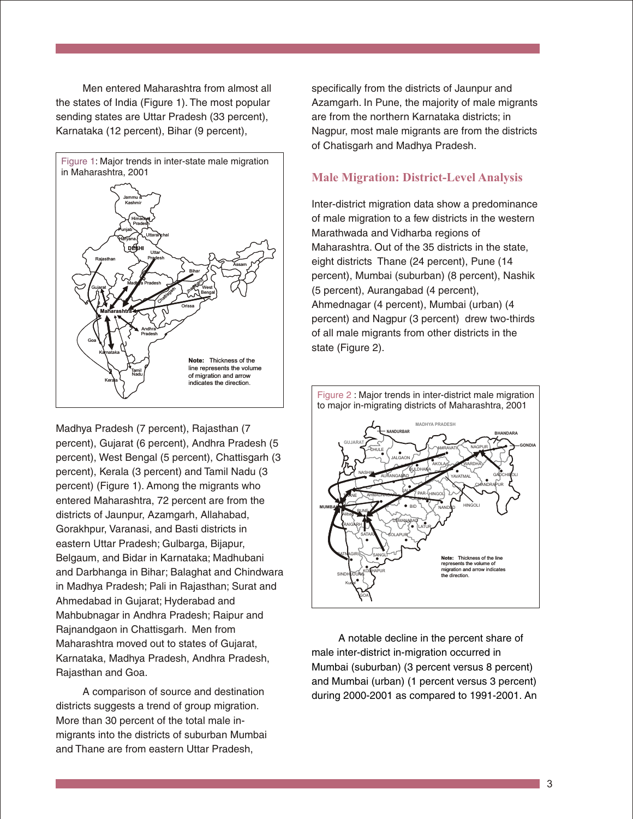Men entered Maharashtra from almost all the states of India (Figure 1). The most popular sending states are Uttar Pradesh (33 percent), Karnataka (12 percent), Bihar (9 percent),



Madhya Pradesh (7 percent), Rajasthan (7 percent), Gujarat (6 percent), Andhra Pradesh (5 percent), West Bengal (5 percent), Chattisgarh (3 percent), Kerala (3 percent) and Tamil Nadu (3 percent) (Figure 1). Among the migrants who entered Maharashtra, 72 percent are from the districts of Jaunpur, Azamgarh, Allahabad, Gorakhpur, Varanasi, and Basti districts in eastern Uttar Pradesh; Gulbarga, Bijapur, Belgaum, and Bidar in Karnataka; Madhubani and Darbhanga in Bihar; Balaghat and Chindwara in Madhya Pradesh; Pali in Rajasthan; Surat and Ahmedabad in Gujarat; Hyderabad and Mahbubnagar in Andhra Pradesh; Raipur and Rajnandgaon in Chattisgarh. Men from Maharashtra moved out to states of Gujarat, Karnataka, Madhya Pradesh, Andhra Pradesh, Rajasthan and Goa.

A comparison of source and destination districts suggests a trend of group migration. More than 30 percent of the total male inmigrants into the districts of suburban Mumbai and Thane are from eastern Uttar Pradesh,

specifically from the districts of Jaunpur and Azamgarh. In Pune, the majority of male migrants are from the northern Karnataka districts; in Nagpur, most male migrants are from the districts of Chatisgarh and Madhya Pradesh.

# **Male Migration: District-Level Analysis**

Inter-district migration data show a predominance of male migration to a few districts in the western Marathwada and Vidharba regions of Maharashtra. Out of the 35 districts in the state, eight districts Thane (24 percent), Pune (14 percent), Mumbai (suburban) (8 percent), Nashik (5 percent), Aurangabad (4 percent), Ahmednagar (4 percent), Mumbai (urban) (4 percent) and Nagpur (3 percent) drew two-thirds of all male migrants from other districts in the state (Figure 2).



A notable decline in the percent share of male inter-district in-migration occurred in Mumbai (suburban) (3 percent versus 8 percent) and Mumbai (urban) (1 percent versus 3 percent) during 2000-2001 as compared to 1991-2001. An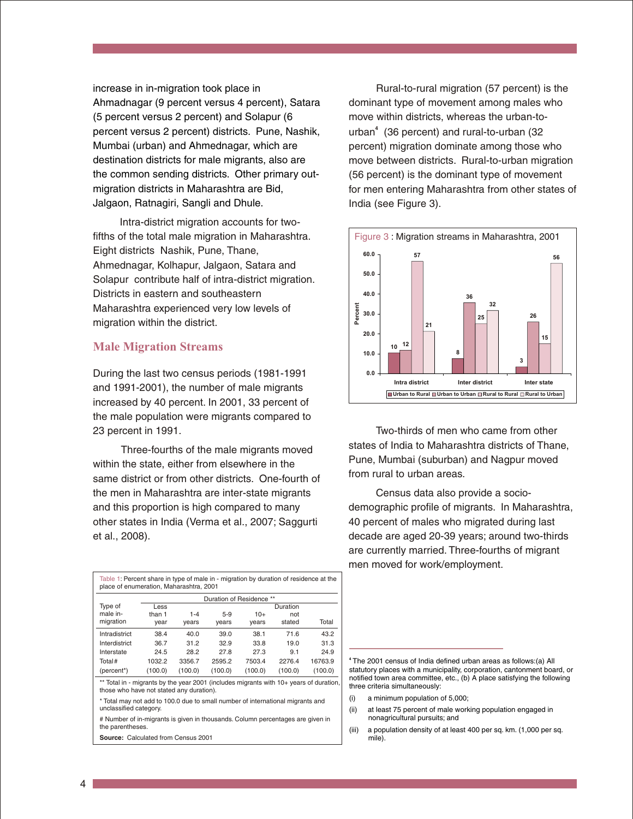increase in in-migration took place in Ahmadnagar (9 percent versus 4 percent), Satara (5 percent versus 2 percent) and Solapur (6 percent versus 2 percent) districts. Pune, Nashik, Mumbai (urban) and Ahmednagar, which are destination districts for male migrants, also are the common sending districts. Other primary outmigration districts in Maharashtra are Bid, Jalgaon, Ratnagiri, Sangli and Dhule.

Intra-district migration accounts for twofifths of the total male migration in Maharashtra. Eight districts Nashik, Pune, Thane, Ahmednagar, Kolhapur, Jalgaon, Satara and Solapur contribute half of intra-district migration. Districts in eastern and southeastern Maharashtra experienced very low levels of migration within the district.

### **Male Migration Streams**

During the last two census periods (1981-1991 and 1991-2001), the number of male migrants increased by 40 percent. In 2001, 33 percent of the male population were migrants compared to 23 percent in 1991.

Three-fourths of the male migrants moved within the state, either from elsewhere in the same district or from other districts. One-fourth of the men in Maharashtra are inter-state migrants and this proportion is high compared to many other states in India (Verma et al., 2007; Saggurti et al., 2008).

Table 1: Percent share in type of male in - migration by duration of residence at the place of enumeration, Maharashtra, 2001 Duration of Residence \*\* Type of male inmigration Less than 1 year 1-4 years 5-9 years 10+ years Duration not stated Total Intradistrict 38.4 40.0 39.0 38.1 71.6 43.2 Interdistrict 36.7 31.2 32.9 33.8 19.0 31.3 Interstate 24.5 28.2 27.8 27.3 9.1 24.9 Total# 1032.2 3356.7 2595.2 7503.4 2276.4 16763.9 (percent\*) (100.0) (100.0) (100.0) (100.0) (100.0) (100.0)

\*\* Total in - migrants by the year 2001 (includes migrants with 10+ years of duration those who have not stated any duration).

\* Total may not add to 100.0 due to small number of international migrants and unclassified category.

# Number of in-migrants is given in thousands. Column percentages are given in the parentheses.

**Source:** Calculated from Census 2001

Rural-to-rural migration (57 percent) is the dominant type of movement among males who move within districts, whereas the urban-tourban<sup>4</sup> (36 percent) and rural-to-urban (32 percent) migration dominate among those who move between districts. Rural-to-urban migration (56 percent) is the dominant type of movement for men entering Maharashtra from other states of India (see Figure 3).



Two-thirds of men who came from other states of India to Maharashtra districts of Thane, Pune, Mumbai (suburban) and Nagpur moved from rural to urban areas.

Census data also provide a sociodemographic profile of migrants. In Maharashtra, 40 percent of males who migrated during last decade are aged 20-39 years; around two-thirds are currently married. Three-fourths of migrant men moved for work/employment.

**4** The 2001 census of India defined urban areas as follows:(a) All statutory places with a municipality, corporation, cantonment board, or notified town area committee, etc., (b) A place satisfying the following three criteria simultaneously:

- a minimum population of 5,000;
- (ii) at least 75 percent of male working population engaged in nonagricultural pursuits; and
- (iii) a population density of at least 400 per sq. km. (1,000 per sq. mile).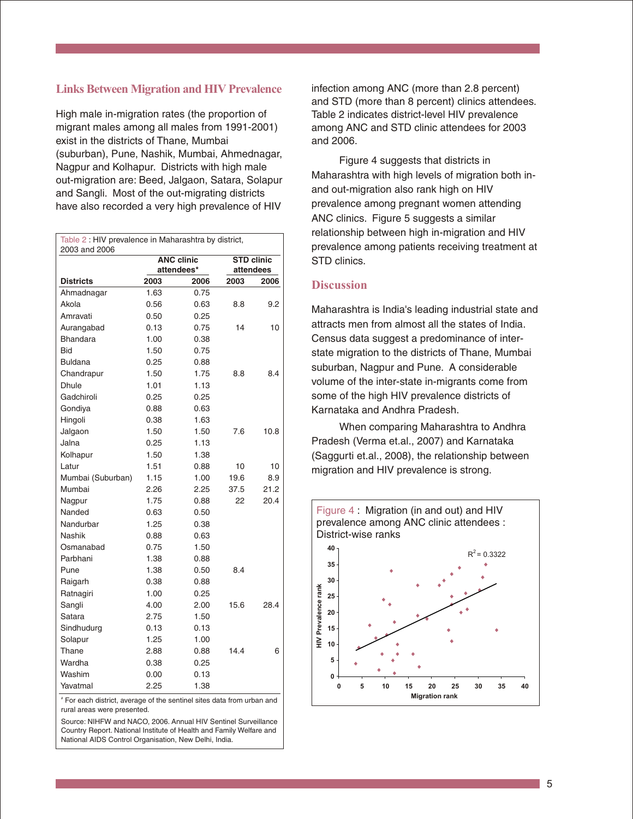#### **Links Between Migration and HIV Prevalence**

High male in-migration rates (the proportion of migrant males among all males from 1991-2001) exist in the districts of Thane, Mumbai (suburban), Pune, Nashik, Mumbai, Ahmednagar, Nagpur and Kolhapur. Districts with high male out-migration are: Beed, Jalgaon, Satara, Solapur and Sangli. Most of the out-migrating districts have also recorded a very high prevalence of HIV

| Table 2 : HIV prevalence in Maharashtra by district,<br>2003 and 2006 |                                 |      |                                |      |
|-----------------------------------------------------------------------|---------------------------------|------|--------------------------------|------|
|                                                                       | <b>ANC clinic</b><br>attendees* |      | <b>STD clinic</b><br>attendees |      |
| <b>Districts</b>                                                      | 2003                            | 2006 | 2003                           | 2006 |
| Ahmadnagar                                                            | 1.63                            | 0.75 |                                |      |
| Akola                                                                 | 0.56                            | 0.63 | 8.8                            | 9.2  |
| Amravati                                                              | 0.50                            | 0.25 |                                |      |
| Aurangabad                                                            | 0.13                            | 0.75 | 14                             | 10   |
| <b>Bhandara</b>                                                       | 1.00                            | 0.38 |                                |      |
| Bid                                                                   | 1.50                            | 0.75 |                                |      |
| <b>Buldana</b>                                                        | 0.25                            | 0.88 |                                |      |
| Chandrapur                                                            | 1.50                            | 1.75 | 8.8                            | 8.4  |
| <b>Dhule</b>                                                          | 1.01                            | 1.13 |                                |      |
| Gadchiroli                                                            | 0.25                            | 0.25 |                                |      |
| Gondiya                                                               | 0.88                            | 0.63 |                                |      |
| Hingoli                                                               | 0.38                            | 1.63 |                                |      |
| Jalgaon                                                               | 1.50                            | 1.50 | 7.6                            | 10.8 |
| Jalna                                                                 | 0.25                            | 1.13 |                                |      |
| Kolhapur                                                              | 1.50                            | 1.38 |                                |      |
| Latur                                                                 | 1.51                            | 0.88 | 10                             | 10   |
| Mumbai (Suburban)                                                     | 1.15                            | 1.00 | 19.6                           | 8.9  |
| Mumbai                                                                | 2.26                            | 2.25 | 37.5                           | 21.2 |
| Nagpur                                                                | 1.75                            | 0.88 | 22                             | 20.4 |
| Nanded                                                                | 0.63                            | 0.50 |                                |      |
| Nandurbar                                                             | 1.25                            | 0.38 |                                |      |
| Nashik                                                                | 0.88                            | 0.63 |                                |      |
| Osmanabad                                                             | 0.75                            | 1.50 |                                |      |
| Parbhani                                                              | 1.38                            | 0.88 |                                |      |
| Pune                                                                  | 1.38                            | 0.50 | 8.4                            |      |
| Raigarh                                                               | 0.38                            | 0.88 |                                |      |
| Ratnagiri                                                             | 1.00                            | 0.25 |                                |      |
| Sangli                                                                | 4.00                            | 2.00 | 15.6                           | 28.4 |
| Satara                                                                | 2.75                            | 1.50 |                                |      |
| Sindhudurg                                                            | 0.13                            | 0.13 |                                |      |
| Solapur                                                               | 1.25                            | 1.00 |                                |      |
| Thane                                                                 | 2.88                            | 0.88 | 14.4                           | 6    |
| Wardha                                                                | 0.38                            | 0.25 |                                |      |
| Washim                                                                | 0.00                            | 0.13 |                                |      |
| Yavatmal                                                              | 2.25                            | 1.38 |                                |      |

# For each district, average of the sentinel sites data from urban and rural areas were presented.

Source: NIHFW and NACO, 2006. Annual HIV Sentinel Surveillance Country Report. National Institute of Health and Family Welfare and National AIDS Control Organisation, New Delhi, India.

infection among ANC (more than 2.8 percent) and STD (more than 8 percent) clinics attendees. Table 2 indicates district-level HIV prevalence among ANC and STD clinic attendees for 2003 and 2006.

Figure 4 suggests that districts in Maharashtra with high levels of migration both inand out-migration also rank high on HIV prevalence among pregnant women attending ANC clinics. Figure 5 suggests a similar relationship between high in-migration and HIV prevalence among patients receiving treatment at STD clinics.

# **Discussion**

Maharashtra is India's leading industrial state and attracts men from almost all the states of India. Census data suggest a predominance of interstate migration to the districts of Thane, Mumbai suburban, Nagpur and Pune. A considerable volume of the inter-state in-migrants come from some of the high HIV prevalence districts of Karnataka and Andhra Pradesh.

When comparing Maharashtra to Andhra Pradesh (Verma et.al., 2007) and Karnataka (Saggurti et.al., 2008), the relationship between migration and HIV prevalence is strong.

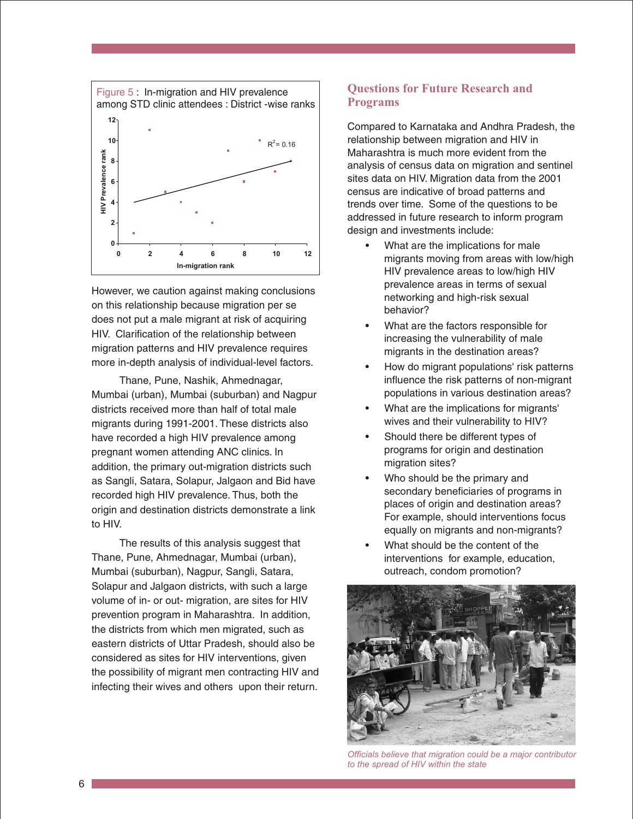

However, we caution against making conclusions on this relationship because migration per se does not put a male migrant at risk of acquiring HIV. Clarification of the relationship between migration patterns and HIV prevalence requires more in-depth analysis of individual-level factors.

Thane, Pune, Nashik, Ahmednagar, Mumbai (urban), Mumbai (suburban) and Nagpur districts received more than half of total male migrants during 1991-2001. These districts also have recorded a high HIV prevalence among pregnant women attending ANC clinics. In addition, the primary out-migration districts such as Sangli, Satara, Solapur, Jalgaon and Bid have recorded high HIV prevalence. Thus, both the origin and destination districts demonstrate a link to HIV.

The results of this analysis suggest that Thane, Pune, Ahmednagar, Mumbai (urban), Mumbai (suburban), Nagpur, Sangli, Satara, Solapur and Jalgaon districts, with such a large volume of in- or out- migration, are sites for HIV prevention program in Maharashtra. In addition, the districts from which men migrated, such as eastern districts of Uttar Pradesh, should also be considered as sites for HIV interventions, given the possibility of migrant men contracting HIV and infecting their wives and others upon their return.

# **Questions for Future Research and Programs**

Compared to Karnataka and Andhra Pradesh, the relationship between migration and HIV in Maharashtra is much more evident from the analysis of census data on migration and sentinel sites data on HIV. Migration data from the 2001 census are indicative of broad patterns and trends over time. Some of the questions to be addressed in future research to inform program design and investments include:

- What are the implications for male migrants moving from areas with low/high HIV prevalence areas to low/high HIV prevalence areas in terms of sexual networking and high-risk sexual behavior?
- What are the factors responsible for increasing the vulnerability of male migrants in the destination areas?
- How do migrant populations' risk patterns influence the risk patterns of non-migrant populations in various destination areas?
- What are the implications for migrants' wives and their vulnerability to HIV?
- Should there be different types of programs for origin and destination migration sites?
- Who should be the primary and secondary beneficiaries of programs in places of origin and destination areas? For example, should interventions focus equally on migrants and non-migrants?
- What should be the content of the interventions for example, education, outreach, condom promotion?



*Officials believe that migration could be a major contributor to the spread of HIV within the state*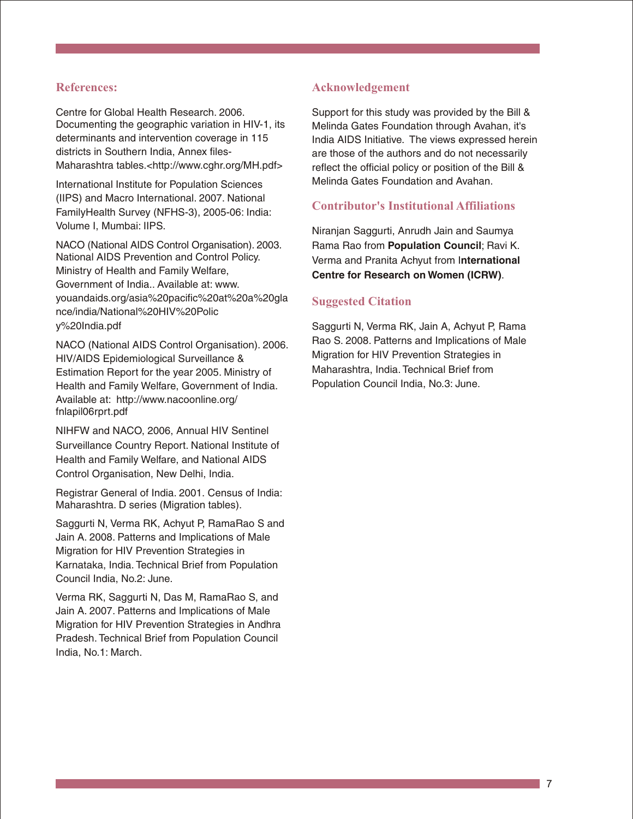#### **References:**

Centre for Global Health Research. 2006. Documenting the geographic variation in HIV-1, its determinants and intervention coverage in 115 districts in Southern India, Annex files-Maharashtra tables.<http://www.cghr.org/MH.pdf>

International Institute for Population Sciences (IIPS) and Macro International. 2007. National FamilyHealth Survey (NFHS-3), 2005-06: India: Volume I, Mumbai: IIPS.

NACO (National AIDS Control Organisation).2003. National AIDS Prevention and Control Policy. Ministry of Health and Family Welfare, Government of India.. Available at: www. youandaids.org/asia%20pacific%20at%20a%20gla nce/india/National%20HIV%20Polic y%20India.pdf

NACO (National AIDS Control Organisation). 2006. HIV/AIDS Epidemiological Surveillance & Estimation Report for the year 2005. Ministry of Health and Family Welfare, Government of India. Available at: http://www.nacoonline.org/ fnlapil06rprt.pdf

NIHFW and NACO, 2006, Annual HIV Sentinel Surveillance Country Report. National Institute of Health and Family Welfare, and National AIDS Control Organisation, New Delhi, India.

Registrar General of India. 2001. Census of India: Maharashtra. D series (Migration tables).

Saggurti N, Verma RK, Achyut P, RamaRao S and Jain A. 2008. Patterns and Implications of Male Migration for HIV Prevention Strategies in Karnataka, India. Technical Brief from Population Council India, No.2: June.

Verma RK, Saggurti N, Das M, RamaRao S, and Jain A. 2007. Patterns and Implications of Male Migration for HIV Prevention Strategies in Andhra Pradesh. Technical Brief from Population Council India, No.1: March.

# **Acknowledgement**

Support for this study was provided by the Bill & Melinda Gates Foundation through Avahan, it's India AIDS Initiative. The views expressed herein are those of the authors and do not necessarily reflect the official policy or position of the Bill & Melinda Gates Foundation and Avahan.

# **Contributor's Institutional Affiliations**

Niranjan Saggurti, Anrudh Jain and Saumya Rama Rao from **Population Council**; Ravi K. Verma and Pranita Achyut from I**nternational Centre for Research on Women (ICRW)**.

# **Suggested Citation**

Saggurti N, Verma RK, Jain A, Achyut P, Rama Rao S. 2008. Patterns and Implications of Male Migration for HIV Prevention Strategies in Maharashtra, India. Technical Brief from Population Council India, No.3: June.